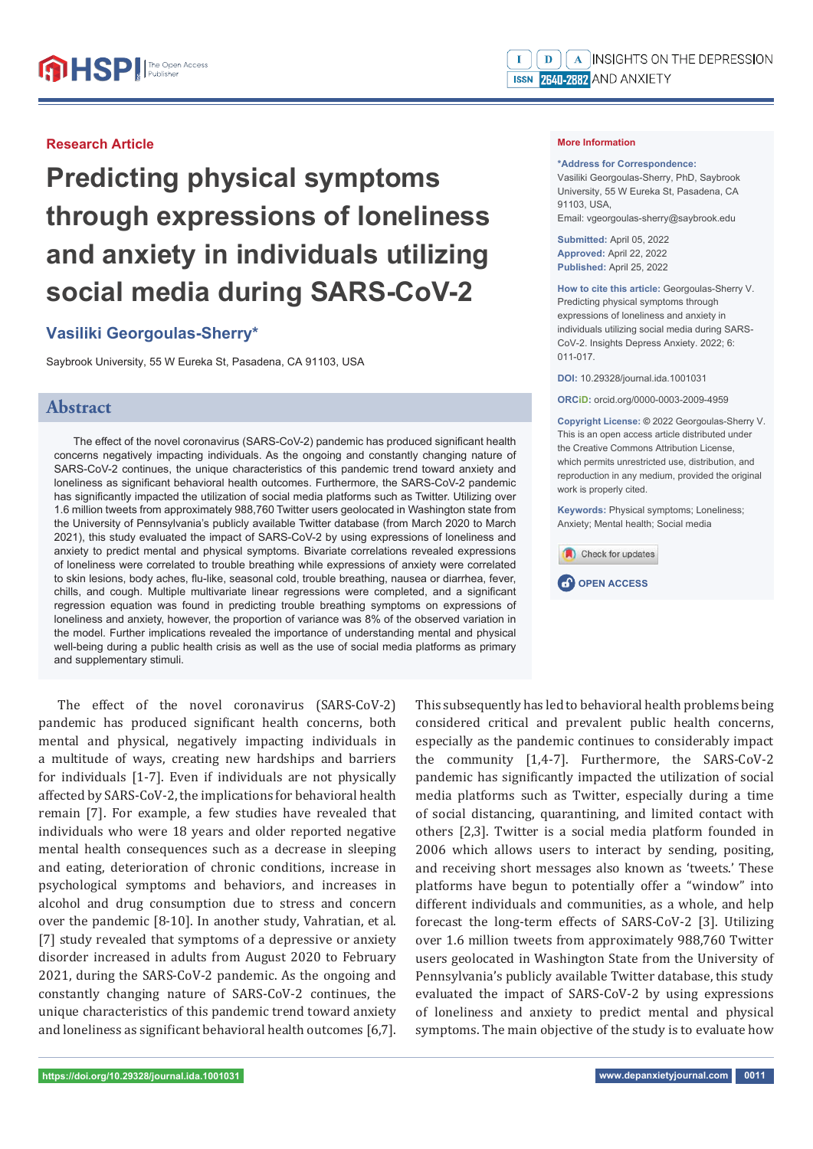#### **Research Article**

# **Predicting physical symptoms through expressions of loneliness and anxiety in individuals utilizing social media during SARS-CoV-2**

## **Vasiliki Georgoulas-Sherry\***

Saybrook University, 55 W Eureka St, Pasadena, CA 91103, USA

## **Abstract**

The effect of the novel coronavirus (SARS-CoV-2) pandemic has produced significant health concerns negatively impacting individuals. As the ongoing and constantly changing nature of SARS-CoV-2 continues, the unique characteristics of this pandemic trend toward anxiety and loneliness as significant behavioral health outcomes. Furthermore, the SARS-CoV-2 pandemic has significantly impacted the utilization of social media platforms such as Twitter. Utilizing over 1.6 million tweets from approximately 988,760 Twitter users geolocated in Washington state from the University of Pennsylvania's publicly available Twitter database (from March 2020 to March 2021), this study evaluated the impact of SARS-CoV-2 by using expressions of loneliness and anxiety to predict mental and physical symptoms. Bivariate correlations revealed expressions of loneliness were correlated to trouble breathing while expressions of anxiety were correlated to skin lesions, body aches, flu-like, seasonal cold, trouble breathing, nausea or diarrhea, fever, chills, and cough. Multiple multivariate linear regressions were completed, and a significant regression equation was found in predicting trouble breathing symptoms on expressions of loneliness and anxiety, however, the proportion of variance was 8% of the observed variation in the model. Further implications revealed the importance of understanding mental and physical well-being during a public health crisis as well as the use of social media platforms as primary and supplementary stimuli.

#### **More Information**

#### **\*Address for Correspondence:**

Vasiliki Georgoulas-Sherry, PhD, Saybrook University, 55 W Eureka St, Pasadena, CA 91103, USA, Email: vgeorgoulas-sherry@saybrook.edu

**Submitted:** April 05, 2022 **Approved:** April 22, 2022 **Published:** April 25, 2022

**How to cite this article:** Georgoulas-Sherry V. Predicting physical symptoms through expressions of loneliness and anxiety in individuals utilizing social media during SARS-CoV-2. Insights Depress Anxiety. 2022; 6: 011-017.

**DOI:** 10.29328/journal.ida.1001031

**ORCiD:** orcid.org/0000-0003-2009-4959

**Copyright License: ©** 2022 Georgoulas-Sherry V. This is an open access article distributed under the Creative Commons Attribution License, which permits unrestricted use, distribution, and reproduction in any medium, provided the original work is properly cited.

**Keywords:** Physical symptoms: Loneliness: Anxiety; Mental health; Social media



The effect of the novel coronavirus (SARS-CoV-2) pandemic has produced significant health concerns, both mental and physical, negatively impacting individuals in a multitude of ways, creating new hardships and barriers for individuals [1-7]. Even if individuals are not physically affected by SARS-CoV-2, the implications for behavioral health remain [7]. For example, a few studies have revealed that individuals who were 18 years and older reported negative mental health consequences such as a decrease in sleeping and eating, deterioration of chronic conditions, increase in psychological symptoms and behaviors, and increases in alcohol and drug consumption due to stress and concern over the pandemic [8-10]. In another study, Vahratian, et al. [7] study revealed that symptoms of a depressive or anxiety disorder increased in adults from August 2020 to February 2021, during the SARS-CoV-2 pandemic. As the ongoing and constantly changing nature of SARS-CoV-2 continues, the unique characteristics of this pandemic trend toward anxiety and loneliness as significant behavioral health outcomes  $[6,7]$ .

This subsequently has led to behavioral health problems being considered critical and prevalent public health concerns, especially as the pandemic continues to considerably impact the community [1,4-7]. Furthermore, the SARS-CoV-2 pandemic has significantly impacted the utilization of social media platforms such as Twitter, especially during a time of social distancing, quarantining, and limited contact with others [2,3]. Twitter is a social media platform founded in 2006 which allows users to interact by sending, positing, and receiving short messages also known as 'tweets.' These platforms have begun to potentially offer a "window" into different individuals and communities, as a whole, and help forecast the long-term effects of SARS-CoV-2 [3]. Utilizing over 1.6 million tweets from approximately 988,760 Twitter users geolocated in Washington State from the University of Pennsylvania's publicly available Twitter database, this study evaluated the impact of SARS-CoV-2 by using expressions of loneliness and anxiety to predict mental and physical symptoms. The main objective of the study is to evaluate how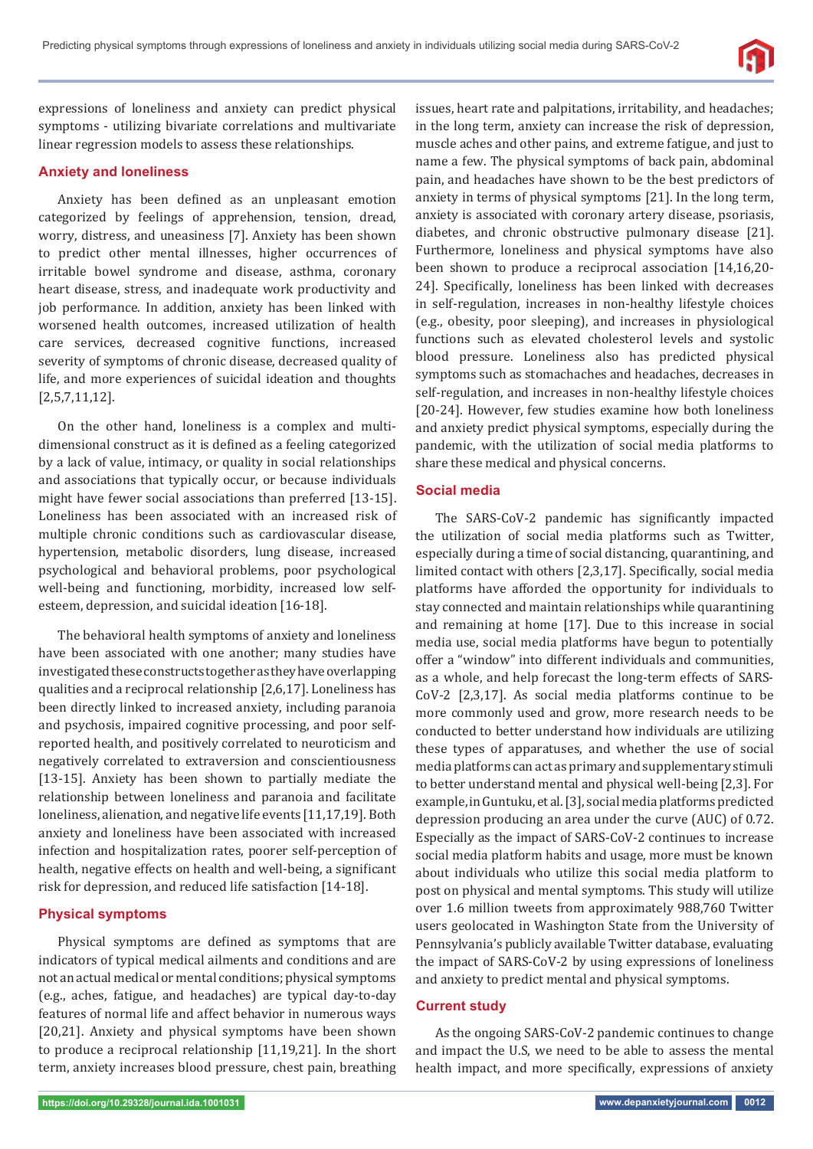

expressions of loneliness and anxiety can predict physical symptoms - utilizing bivariate correlations and multivariate linear regression models to assess these relationships.

## **Anxiety and loneliness**

Anxiety has been defined as an unpleasant emotion categorized by feelings of apprehension, tension, dread, worry, distress, and uneasiness [7]. Anxiety has been shown to predict other mental illnesses, higher occurrences of irritable bowel syndrome and disease, asthma, coronary heart disease, stress, and inadequate work productivity and job performance. In addition, anxiety has been linked with worsened health outcomes, increased utilization of health care services, decreased cognitive functions, increased severity of symptoms of chronic disease, decreased quality of life, and more experiences of suicidal ideation and thoughts [2,5,7,11,12].

On the other hand, loneliness is a complex and multidimensional construct as it is defined as a feeling categorized by a lack of value, intimacy, or quality in social relationships and associations that typically occur, or because individuals might have fewer social associations than preferred [13-15]. Loneliness has been associated with an increased risk of multiple chronic conditions such as cardiovascular disease, hypertension, metabolic disorders, lung disease, increased psychological and behavioral problems, poor psychological well-being and functioning, morbidity, increased low selfesteem, depression, and suicidal ideation [16-18].

The behavioral health symptoms of anxiety and loneliness have been associated with one another; many studies have investigated these constructs together as they have overlapping qualities and a reciprocal relationship [2,6,17]. Loneliness has been directly linked to increased anxiety, including paranoia and psychosis, impaired cognitive processing, and poor selfreported health, and positively correlated to neuroticism and negatively correlated to extraversion and conscientiousness [13-15]. Anxiety has been shown to partially mediate the relationship between loneliness and paranoia and facilitate loneliness, alienation, and negative life events [11,17,19]. Both anxiety and loneliness have been associated with increased infection and hospitalization rates, poorer self-perception of health, negative effects on health and well-being, a significant risk for depression, and reduced life satisfaction [14-18].

## **Physical symptoms**

Physical symptoms are defined as symptoms that are indicators of typical medical ailments and conditions and are not an actual medical or mental conditions; physical symptoms (e.g., aches, fatigue, and headaches) are typical day-to-day features of normal life and affect behavior in numerous ways [20,21]. Anxiety and physical symptoms have been shown to produce a reciprocal relationship [11,19,21]. In the short term, anxiety increases blood pressure, chest pain, breathing

issues, heart rate and palpitations, irritability, and headaches; in the long term, anxiety can increase the risk of depression, muscle aches and other pains, and extreme fatigue, and just to name a few. The physical symptoms of back pain, abdominal pain, and headaches have shown to be the best predictors of anxiety in terms of physical symptoms [21]. In the long term, anxiety is associated with coronary artery disease, psoriasis, diabetes, and chronic obstructive pulmonary disease [21]. Furthermore, loneliness and physical symptoms have also been shown to produce a reciprocal association [14,16,20- 24]. Specifically, loneliness has been linked with decreases in self-regulation, increases in non-healthy lifestyle choices (e.g., obesity, poor sleeping), and increases in physiological functions such as elevated cholesterol levels and systolic blood pressure. Loneliness also has predicted physical symptoms such as stomachaches and headaches, decreases in self-regulation, and increases in non-healthy lifestyle choices [20-24]. However, few studies examine how both loneliness and anxiety predict physical symptoms, especially during the pandemic, with the utilization of social media platforms to share these medical and physical concerns.

#### **Social media**

The SARS-CoV-2 pandemic has significantly impacted the utilization of social media platforms such as Twitter, especially during a time of social distancing, quarantining, and limited contact with others [2,3,17]. Specifically, social media platforms have afforded the opportunity for individuals to stay connected and maintain relationships while quarantining and remaining at home [17]. Due to this increase in social media use, social media platforms have begun to potentially offer a "window" into different individuals and communities, as a whole, and help forecast the long-term effects of SARS-CoV-2 [2,3,17]. As social media platforms continue to be more commonly used and grow, more research needs to be conducted to better understand how individuals are utilizing these types of apparatuses, and whether the use of social media platforms can act as primary and supplementary stimuli to better understand mental and physical well-being [2,3]. For example, in Guntuku, et al. [3], social media platforms predicted depression producing an area under the curve (AUC) of 0.72. Especially as the impact of SARS-CoV-2 continues to increase social media platform habits and usage, more must be known about individuals who utilize this social media platform to post on physical and mental symptoms. This study will utilize over 1.6 million tweets from approximately 988,760 Twitter users geolocated in Washington State from the University of Pennsylvania's publicly available Twitter database, evaluating the impact of SARS-CoV-2 by using expressions of loneliness and anxiety to predict mental and physical symptoms.

## **Current study**

As the ongoing SARS-CoV-2 pandemic continues to change and impact the U.S, we need to be able to assess the mental health impact, and more specifically, expressions of anxiety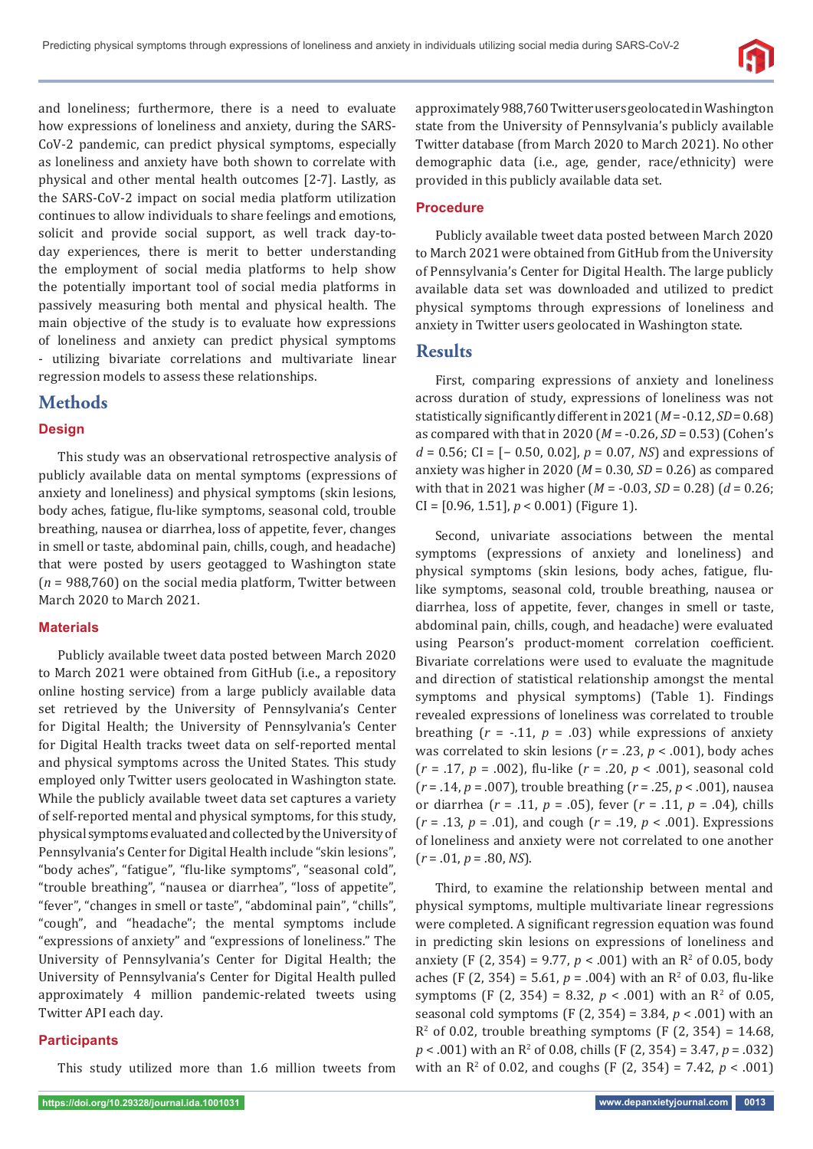

and loneliness; furthermore, there is a need to evaluate how expressions of loneliness and anxiety, during the SARS-CoV-2 pandemic, can predict physical symptoms, especially as loneliness and anxiety have both shown to correlate with physical and other mental health outcomes [2-7]. Lastly, as the SARS-CoV-2 impact on social media platform utilization continues to allow individuals to share feelings and emotions, solicit and provide social support, as well track day-today experiences, there is merit to better understanding the employment of social media platforms to help show the potentially important tool of social media platforms in passively measuring both mental and physical health. The main objective of the study is to evaluate how expressions of loneliness and anxiety can predict physical symptoms - utilizing bivariate correlations and multivariate linear regression models to assess these relationships.

# **Methods**

## **Design**

This study was an observational retrospective analysis of publicly available data on mental symptoms (expressions of anxiety and loneliness) and physical symptoms (skin lesions, body aches, fatigue, flu-like symptoms, seasonal cold, trouble breathing, nausea or diarrhea, loss of appetite, fever, changes in smell or taste, abdominal pain, chills, cough, and headache) that were posted by users geotagged to Washington state (*n* = 988,760) on the social media platform, Twitter between March 2020 to March 2021.

## **Materials**

Publicly available tweet data posted between March 2020 to March 2021 were obtained from GitHub (i.e., a repository online hosting service) from a large publicly available data set retrieved by the University of Pennsylvania's Center for Digital Health; the University of Pennsylvania's Center for Digital Health tracks tweet data on self-reported mental and physical symptoms across the United States. This study employed only Twitter users geolocated in Washington state. While the publicly available tweet data set captures a variety of self-reported mental and physical symptoms, for this study, physical symptoms evaluated and collected by the University of Pennsylvania's Center for Digital Health include "skin lesions", "body aches", "fatigue", "flu-like symptoms", "seasonal cold", "trouble breathing", "nausea or diarrhea", "loss of appetite", "fever", "changes in smell or taste", "abdominal pain", "chills", "cough", and "headache"; the mental symptoms include "expressions of anxiety" and "expressions of loneliness." The University of Pennsylvania's Center for Digital Health; the University of Pennsylvania's Center for Digital Health pulled approximately 4 million pandemic-related tweets using Twitter API each day.

## **Participants**

This study utilized more than 1.6 million tweets from

approximately 988,760 Twitter users geolocated in Washington state from the University of Pennsylvania's publicly available Twitter database (from March 2020 to March 2021). No other demographic data (i.e., age, gender, race/ethnicity) were provided in this publicly available data set.

## **Procedure**

Publicly available tweet data posted between March 2020 to March 2021 were obtained from GitHub from the University of Pennsylvania's Center for Digital Health. The large publicly available data set was downloaded and utilized to predict physical symptoms through expressions of loneliness and anxiety in Twitter users geolocated in Washington state.

## **Results**

First, comparing expressions of anxiety and loneliness across duration of study, expressions of loneliness was not statistically significantly different in  $2021$  ( $M = -0.12$ ,  $SD = 0.68$ ) as compared with that in 2020 (*M* = -0.26, *SD* = 0.53) (Cohen's *d* = 0.56; CI = [− 0.50, 0.02], *p* = 0.07, *NS*) and expressions of anxiety was higher in 2020 (*M* = 0.30, *SD* = 0.26) as compared with that in 2021 was higher (*M* = -0.03, *SD* = 0.28) (*d* = 0.26; CI = [0.96, 1.51], *p* < 0.001) (Figure 1).

Second, univariate associations between the mental symptoms (expressions of anxiety and loneliness) and physical symptoms (skin lesions, body aches, fatigue, flulike symptoms, seasonal cold, trouble breathing, nausea or diarrhea, loss of appetite, fever, changes in smell or taste, abdominal pain, chills, cough, and headache) were evaluated using Pearson's product-moment correlation coefficient. Bivariate correlations were used to evaluate the magnitude and direction of statistical relationship amongst the mental symptoms and physical symptoms) (Table 1). Findings revealed expressions of loneliness was correlated to trouble breathing  $(r = -.11, p = .03)$  while expressions of anxiety was correlated to skin lesions (*r* = .23, *p* < .001), body aches (*r* = .17, *p* = .002), ϐlu-like (*r* = .20, *p* < .001), seasonal cold (*r* = .14, *p* = .007), trouble breathing (*r* = .25, *p* < .001), nausea or diarrhea (*r* = .11, *p* = .05), fever (*r* = .11, *p* = .04), chills (*r* = .13, *p* = .01), and cough (*r* = .19, *p* < .001). Expressions of loneliness and anxiety were not correlated to one another (*r* = .01, *p* = .80, *NS*).

Third, to examine the relationship between mental and physical symptoms, multiple multivariate linear regressions were completed. A significant regression equation was found in predicting skin lesions on expressions of loneliness and anxiety (F (2, 354) = 9.77,  $p < .001$ ) with an R<sup>2</sup> of 0.05, body aches (F  $(2, 354) = 5.61$ ,  $p = .004$ ) with an R<sup>2</sup> of 0.03, flu-like symptoms (F (2, 354) = 8.32,  $p < .001$ ) with an R<sup>2</sup> of 0.05, seasonal cold symptoms (F (2, 354) = 3.84, *p* < .001) with an  $R<sup>2</sup>$  of 0.02, trouble breathing symptoms (F (2, 354) = 14.68, *p* < .001) with an R<sup>2</sup> of 0.08, chills (F (2, 354) = 3.47, *p* = .032) with an  $\mathbb{R}^2$  of 0.02, and coughs (F (2, 354) = 7.42,  $p < .001$ )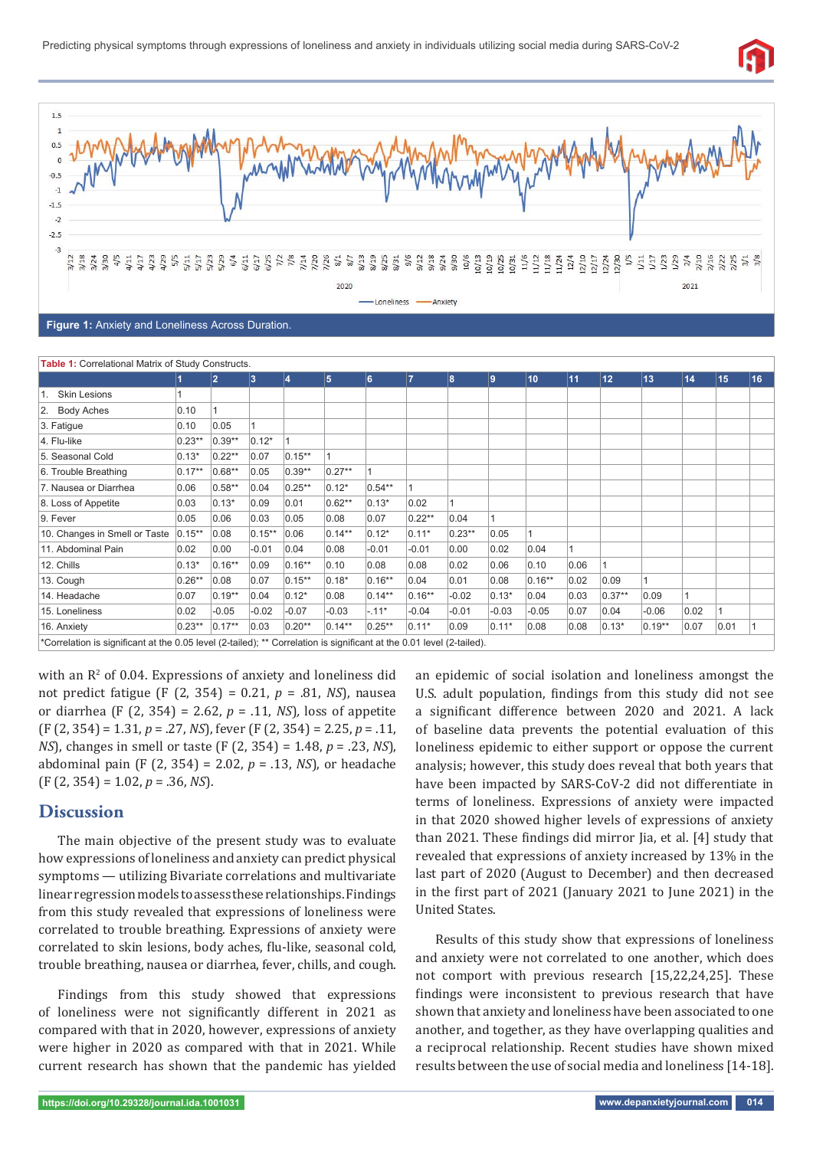



**Figure 1:** Anxiety and Loneliness Across Duration.

| Table 1: Correlational Matrix of Study Constructs.                                                                    |           |                |           |                |           |           |                |          |         |           |      |         |          |      |      |    |
|-----------------------------------------------------------------------------------------------------------------------|-----------|----------------|-----------|----------------|-----------|-----------|----------------|----------|---------|-----------|------|---------|----------|------|------|----|
|                                                                                                                       |           | $\overline{2}$ | 3         | $\overline{4}$ | 5         | 6         | $\overline{7}$ | 8        | 9       | 10        | 11   | 12      | 13       | 14   | 15   | 16 |
| <b>Skin Lesions</b>                                                                                                   |           |                |           |                |           |           |                |          |         |           |      |         |          |      |      |    |
| 2. Body Aches                                                                                                         | 0.10      |                |           |                |           |           |                |          |         |           |      |         |          |      |      |    |
| 3. Fatigue                                                                                                            | 0.10      | 0.05           |           |                |           |           |                |          |         |           |      |         |          |      |      |    |
| 4. Flu-like                                                                                                           | $0.23**$  | $0.39**$       | $0.12*$   |                |           |           |                |          |         |           |      |         |          |      |      |    |
| 5. Seasonal Cold                                                                                                      | $0.13*$   | $0.22**$       | 0.07      | $0.15***$      |           |           |                |          |         |           |      |         |          |      |      |    |
| 6. Trouble Breathing                                                                                                  | $0.17***$ | 0.68**         | 0.05      | $0.39**$       | $0.27**$  |           |                |          |         |           |      |         |          |      |      |    |
| 7. Nausea or Diarrhea                                                                                                 | 0.06      | $0.58**$       | 0.04      | $0.25**$       | $0.12*$   | $0.54**$  |                |          |         |           |      |         |          |      |      |    |
| 8. Loss of Appetite                                                                                                   | 0.03      | $0.13*$        | 0.09      | 0.01           | $0.62**$  | $0.13*$   | 0.02           |          |         |           |      |         |          |      |      |    |
| 9. Fever                                                                                                              | 0.05      | 0.06           | 0.03      | 0.05           | 0.08      | 0.07      | $0.22**$       | 0.04     | 1       |           |      |         |          |      |      |    |
| 10. Changes in Smell or Taste                                                                                         | $0.15***$ | 0.08           | $0.15***$ | 0.06           | $0.14***$ | $0.12*$   | $0.11*$        | $0.23**$ | 0.05    |           |      |         |          |      |      |    |
| 11. Abdominal Pain                                                                                                    | 0.02      | 0.00           | $-0.01$   | 0.04           | 0.08      | $-0.01$   | $-0.01$        | 0.00     | 0.02    | 0.04      | 1    |         |          |      |      |    |
| 12. Chills                                                                                                            | $0.13*$   | $0.16**$       | 0.09      | $0.16**$       | 0.10      | 0.08      | 0.08           | 0.02     | 0.06    | 0.10      | 0.06 |         |          |      |      |    |
| 13. Cough                                                                                                             | $0.26**$  | 0.08           | 0.07      | $0.15***$      | $0.18*$   | $0.16***$ | 0.04           | 0.01     | 0.08    | $0.16***$ | 0.02 | 0.09    | 1        |      |      |    |
| 14. Headache                                                                                                          | 0.07      | $0.19**$       | 0.04      | $0.12*$        | 0.08      | $0.14***$ | $0.16***$      | $-0.02$  | $0.13*$ | 0.04      | 0.03 | 0.37**  | 0.09     |      |      |    |
| 15. Loneliness                                                                                                        | 0.02      | $-0.05$        | $-0.02$   | $-0.07$        | $-0.03$   | $-.11*$   | $-0.04$        | $-0.01$  | $-0.03$ | $-0.05$   | 0.07 | 0.04    | $-0.06$  | 0.02 |      |    |
| 16. Anxiety                                                                                                           | $0.23**$  | $0.17**$       | 0.03      | $0.20**$       | $0.14***$ | $0.25***$ | $0.11*$        | 0.09     | $0.11*$ | 0.08      | 0.08 | $0.13*$ | $0.19**$ | 0.07 | 0.01 |    |
| *Correlation is significant at the 0.05 level (2-tailed); ** Correlation is significant at the 0.01 level (2-tailed). |           |                |           |                |           |           |                |          |         |           |      |         |          |      |      |    |

with an  $\mathbb{R}^2$  of 0.04. Expressions of anxiety and loneliness did not predict fatigue (F (2, 354) = 0.21, *p* = .81, *NS*), nausea or diarrhea (F (2, 354) = 2.62, *p* = .11, *NS*)*,* loss of appetite (F (2, 354) = 1.31, *p* = .27, *NS*), fever (F (2, 354) = 2.25, *p* = .11, *NS*), changes in smell or taste (F (2, 354) = 1.48, *p* = .23, *NS*), abdominal pain (F (2, 354) = 2.02, *p* = .13, *NS*), or headache (F (2, 354) = 1.02, *p* = .36, *NS*).

## **Discussion**

The main objective of the present study was to evaluate how expressions of loneliness and anxiety can predict physical symptoms — utilizing Bivariate correlations and multivariate linear regression models to assess these relationships. Findings from this study revealed that expressions of loneliness were correlated to trouble breathing. Expressions of anxiety were correlated to skin lesions, body aches, flu-like, seasonal cold, trouble breathing, nausea or diarrhea, fever, chills, and cough.

Findings from this study showed that expressions of loneliness were not significantly different in 2021 as compared with that in 2020, however, expressions of anxiety were higher in 2020 as compared with that in 2021. While current research has shown that the pandemic has yielded

an epidemic of social isolation and loneliness amongst the U.S. adult population, findings from this study did not see a significant difference between 2020 and 2021. A lack of baseline data prevents the potential evaluation of this loneliness epidemic to either support or oppose the current analysis; however, this study does reveal that both years that have been impacted by SARS-CoV-2 did not differentiate in terms of loneliness. Expressions of anxiety were impacted in that 2020 showed higher levels of expressions of anxiety than 2021. These findings did mirror Jia, et al. [4] study that revealed that expressions of anxiety increased by 13% in the last part of 2020 (August to December) and then decreased in the ϐirst part of 2021 (January 2021 to June 2021) in the United States.

Results of this study show that expressions of loneliness and anxiety were not correlated to one another, which does not comport with previous research [15,22,24,25]. These findings were inconsistent to previous research that have shown that anxiety and loneliness have been associated to one another, and together, as they have overlapping qualities and a reciprocal relationship. Recent studies have shown mixed results between the use of social media and loneliness [14-18].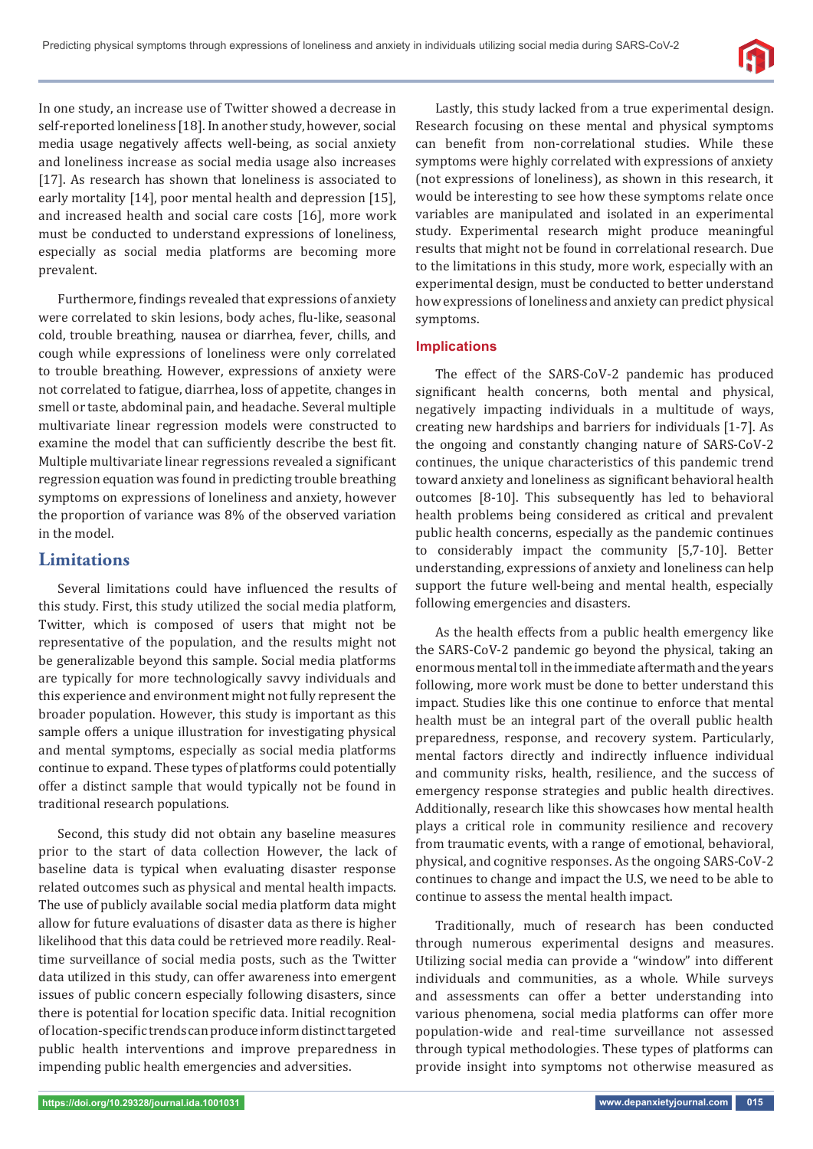

In one study, an increase use of Twitter showed a decrease in self-reported loneliness [18]. In another study, however, social media usage negatively affects well-being, as social anxiety and loneliness increase as social media usage also increases [17]. As research has shown that loneliness is associated to early mortality [14], poor mental health and depression [15], and increased health and social care costs [16], more work must be conducted to understand expressions of loneliness, especially as social media platforms are becoming more prevalent.

Furthermore, findings revealed that expressions of anxiety were correlated to skin lesions, body aches, flu-like, seasonal cold, trouble breathing, nausea or diarrhea, fever, chills, and cough while expressions of loneliness were only correlated to trouble breathing. However, expressions of anxiety were not correlated to fatigue, diarrhea, loss of appetite, changes in smell or taste, abdominal pain, and headache. Several multiple multivariate linear regression models were constructed to examine the model that can sufficiently describe the best fit. Multiple multivariate linear regressions revealed a significant regression equation was found in predicting trouble breathing symptoms on expressions of loneliness and anxiety, however the proportion of variance was 8% of the observed variation in the model.

## **Limitations**

Several limitations could have influenced the results of this study. First, this study utilized the social media platform, Twitter, which is composed of users that might not be representative of the population, and the results might not be generalizable beyond this sample. Social media platforms are typically for more technologically savvy individuals and this experience and environment might not fully represent the broader population. However, this study is important as this sample offers a unique illustration for investigating physical and mental symptoms, especially as social media platforms continue to expand. These types of platforms could potentially offer a distinct sample that would typically not be found in traditional research populations.

Second, this study did not obtain any baseline measures prior to the start of data collection However, the lack of baseline data is typical when evaluating disaster response related outcomes such as physical and mental health impacts. The use of publicly available social media platform data might allow for future evaluations of disaster data as there is higher likelihood that this data could be retrieved more readily. Realtime surveillance of social media posts, such as the Twitter data utilized in this study, can offer awareness into emergent issues of public concern especially following disasters, since there is potential for location specific data. Initial recognition of location-specific trends can produce inform distinct targeted public health interventions and improve preparedness in impending public health emergencies and adversities.

Lastly, this study lacked from a true experimental design. Research focusing on these mental and physical symptoms can benefit from non-correlational studies. While these symptoms were highly correlated with expressions of anxiety (not expressions of loneliness), as shown in this research, it would be interesting to see how these symptoms relate once variables are manipulated and isolated in an experimental study. Experimental research might produce meaningful results that might not be found in correlational research. Due to the limitations in this study, more work, especially with an experimental design, must be conducted to better understand how expressions of loneliness and anxiety can predict physical symptoms.

## **Implications**

The effect of the SARS-CoV-2 pandemic has produced significant health concerns, both mental and physical, negatively impacting individuals in a multitude of ways, creating new hardships and barriers for individuals [1-7]. As the ongoing and constantly changing nature of SARS-CoV-2 continues, the unique characteristics of this pandemic trend toward anxiety and loneliness as significant behavioral health outcomes [8-10]. This subsequently has led to behavioral health problems being considered as critical and prevalent public health concerns, especially as the pandemic continues to considerably impact the community [5,7-10]. Better understanding, expressions of anxiety and loneliness can help support the future well-being and mental health, especially following emergencies and disasters.

As the health effects from a public health emergency like the SARS-CoV-2 pandemic go beyond the physical, taking an enormous mental toll in the immediate aftermath and the years following, more work must be done to better understand this impact. Studies like this one continue to enforce that mental health must be an integral part of the overall public health preparedness, response, and recovery system. Particularly, mental factors directly and indirectly influence individual and community risks, health, resilience, and the success of emergency response strategies and public health directives. Additionally, research like this showcases how mental health plays a critical role in community resilience and recovery from traumatic events, with a range of emotional, behavioral, physical, and cognitive responses. As the ongoing SARS-CoV-2 continues to change and impact the U.S, we need to be able to continue to assess the mental health impact.

Traditionally, much of research has been conducted through numerous experimental designs and measures. Utilizing social media can provide a "window" into different individuals and communities, as a whole. While surveys and assessments can offer a better understanding into various phenomena, social media platforms can offer more population-wide and real-time surveillance not assessed through typical methodologies. These types of platforms can provide insight into symptoms not otherwise measured as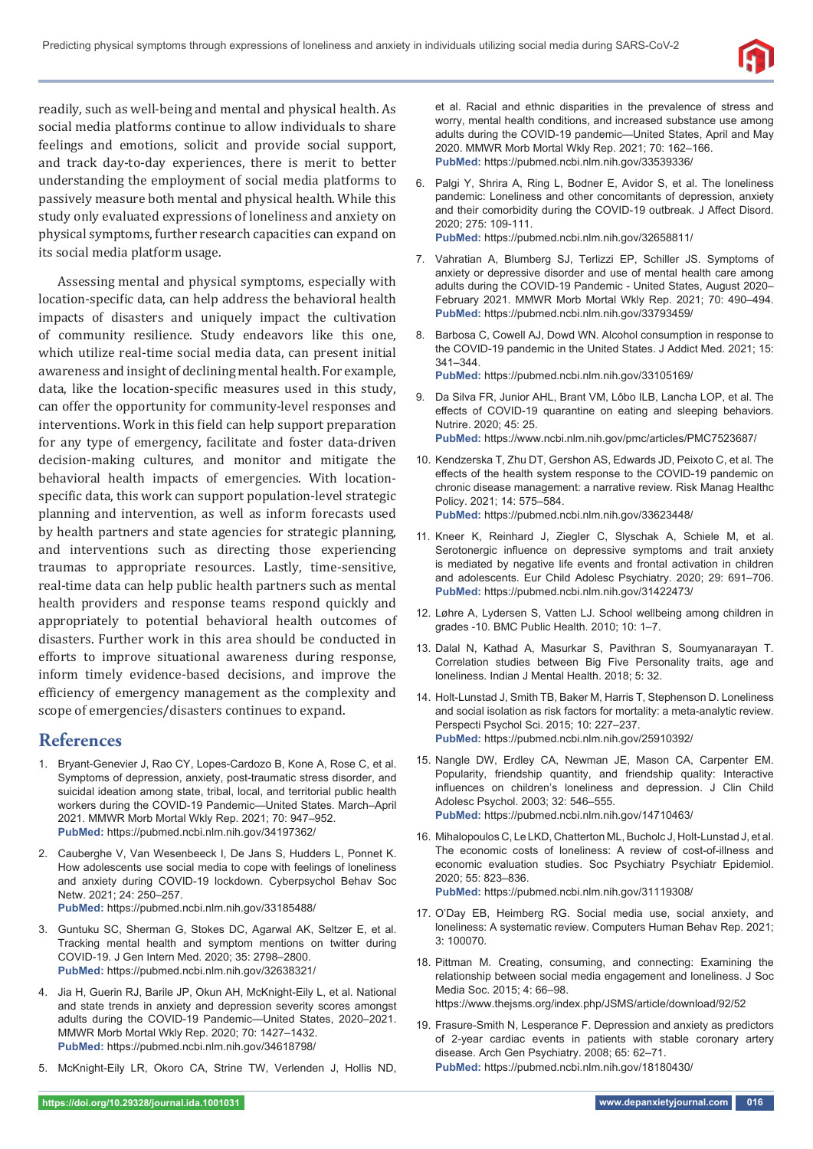

readily, such as well-being and mental and physical health. As social media platforms continue to allow individuals to share feelings and emotions, solicit and provide social support, and track day-to-day experiences, there is merit to better understanding the employment of social media platforms to passively measure both mental and physical health. While this study only evaluated expressions of loneliness and anxiety on physical symptoms, further research capacities can expand on its social media platform usage.

Assessing mental and physical symptoms, especially with location-specific data, can help address the behavioral health impacts of disasters and uniquely impact the cultivation of community resilience. Study endeavors like this one, which utilize real-time social media data, can present initial awareness and insight of declining mental health. For example, data, like the location-specific measures used in this study, can offer the opportunity for community-level responses and interventions. Work in this field can help support preparation for any type of emergency, facilitate and foster data-driven decision-making cultures, and monitor and mitigate the behavioral health impacts of emergencies. With locationspecific data, this work can support population-level strategic planning and intervention, as well as inform forecasts used by health partners and state agencies for strategic planning, and interventions such as directing those experiencing traumas to appropriate resources. Lastly, time-sensitive, real-time data can help public health partners such as mental health providers and response teams respond quickly and appropriately to potential behavioral health outcomes of disasters. Further work in this area should be conducted in efforts to improve situational awareness during response, inform timely evidence-based decisions, and improve the efficiency of emergency management as the complexity and scope of emergencies/disasters continues to expand.

## **References**

- 1. Bryant-Genevier J, Rao CY, Lopes-Cardozo B, Kone A, Rose C, et al. Symptoms of depression, anxiety, post-traumatic stress disorder, and suicidal ideation among state, tribal, local, and territorial public health workers during the COVID-19 Pandemic—United States. March–April 2021. MMWR Morb Mortal Wkly Rep. 2021; 70: 947–952. **PubMed:** https://pubmed.ncbi.nlm.nih.gov/34197362/
- 2. Cauberghe V, Van Wesenbeeck I, De Jans S, Hudders L, Ponnet K. How adolescents use social media to cope with feelings of loneliness and anxiety during COVID-19 lockdown. Cyberpsychol Behav Soc Netw. 2021; 24: 250–257.
- **PubMed:** https://pubmed.ncbi.nlm.nih.gov/33185488/
- 3. Guntuku SC, Sherman G, Stokes DC, Agarwal AK, Seltzer E, et al. Tracking mental health and symptom mentions on twitter during COVID-19. J Gen Intern Med. 2020; 35: 2798–2800. **PubMed:** https://pubmed.ncbi.nlm.nih.gov/32638321/
- 4. Jia H, Guerin RJ, Barile JP, Okun AH, McKnight-Eily L, et al. National and state trends in anxiety and depression severity scores amongst adults during the COVID-19 Pandemic—United States, 2020–2021. MMWR Morb Mortal Wkly Rep. 2020; 70: 1427–1432. **PubMed:** https://pubmed.ncbi.nlm.nih.gov/34618798/
- 5. McKnight-Eily LR, Okoro CA, Strine TW, Verlenden J, Hollis ND,

et al. Racial and ethnic disparities in the prevalence of stress and worry, mental health conditions, and increased substance use among adults during the COVID-19 pandemic—United States, April and May 2020. MMWR Morb Mortal Wkly Rep. 2021; 70: 162–166. **PubMed:** https://pubmed.ncbi.nlm.nih.gov/33539336/

- 6. Palgi Y, Shrira A, Ring L, Bodner E, Avidor S, et al. The loneliness pandemic: Loneliness and other concomitants of depression, anxiety and their comorbidity during the COVID-19 outbreak. J Affect Disord. 2020; 275: 109-111. **PubMed:** https://pubmed.ncbi.nlm.nih.gov/32658811/
- 7. Vahratian A, Blumberg SJ, Terlizzi EP, Schiller JS. Symptoms of anxiety or depressive disorder and use of mental health care among adults during the COVID-19 Pandemic - United States, August 2020– February 2021. MMWR Morb Mortal Wkly Rep. 2021; 70: 490–494. **PubMed:** https://pubmed.ncbi.nlm.nih.gov/33793459/
- 8. Barbosa C, Cowell AJ, Dowd WN. Alcohol consumption in response to the COVID-19 pandemic in the United States. J Addict Med. 2021; 15: 341–344. **PubMed:** https://pubmed.ncbi.nlm.nih.gov/33105169/
- 9. Da Silva FR, Junior AHL, Brant VM, Lôbo ILB, Lancha LOP, et al. The effects of COVID-19 quarantine on eating and sleeping behaviors. Nutrire. 2020; 45: 25. **PubMed:** https://www.ncbi.nlm.nih.gov/pmc/articles/PMC7523687/
- 10. Kendzerska T, Zhu DT, Gershon AS, Edwards JD, Peixoto C, et al. The effects of the health system response to the COVID-19 pandemic on chronic disease management: a narrative review. Risk Manag Healthc Policy. 2021; 14: 575–584. **PubMed:** https://pubmed.ncbi.nlm.nih.gov/33623448/
- 11. Kneer K, Reinhard J, Ziegler C, Slyschak A, Schiele M, et al. Serotonergic influence on depressive symptoms and trait anxiety is mediated by negative life events and frontal activation in children and adolescents. Eur Child Adolesc Psychiatry. 2020; 29: 691–706. **PubMed:** https://pubmed.ncbi.nlm.nih.gov/31422473/
- 12. Løhre A, Lydersen S, Vatten LJ. School wellbeing among children in grades -10. BMC Public Health. 2010; 10: 1–7.
- 13. Dalal N, Kathad A, Masurkar S, Pavithran S, Soumyanarayan T. Correlation studies between Big Five Personality traits, age and loneliness. Indian J Mental Health. 2018; 5: 32.
- 14. Holt-Lunstad J, Smith TB, Baker M, Harris T, Stephenson D. Loneliness and social isolation as risk factors for mortality: a meta-analytic review. Perspecti Psychol Sci. 2015; 10: 227–237. **PubMed:** https://pubmed.ncbi.nlm.nih.gov/25910392/
- 15. Nangle DW, Erdley CA, Newman JE, Mason CA, Carpenter EM. Popularity, friendship quantity, and friendship quality: Interactive influences on children's loneliness and depression. J Clin Child Adolesc Psychol. 2003; 32: 546–555. **PubMed:** https://pubmed.ncbi.nlm.nih.gov/14710463/
- 16. Mihalopoulos C, Le LKD, Chatterton ML, Bucholc J, Holt-Lunstad J, et al. The economic costs of loneliness: A review of cost-of-illness and economic evaluation studies. Soc Psychiatry Psychiatr Epidemiol. 2020; 55: 823–836. **PubMed:** https://pubmed.ncbi.nlm.nih.gov/31119308/
- 17. O'Day EB, Heimberg RG. Social media use, social anxiety, and loneliness: A systematic review. Computers Human Behav Rep. 2021; 3: 100070.
- 18. Pittman M. Creating, consuming, and connecting: Examining the relationship between social media engagement and loneliness. J Soc Media Soc. 2015; 4: 66–98. https://www.thejsms.org/index.php/JSMS/article/download/92/52
- 19. Frasure-Smith N, Lesperance F. Depression and anxiety as predictors of 2-year cardiac events in patients with stable coronary artery disease. Arch Gen Psychiatry. 2008; 65: 62–71. **PubMed:** https://pubmed.ncbi.nlm.nih.gov/18180430/